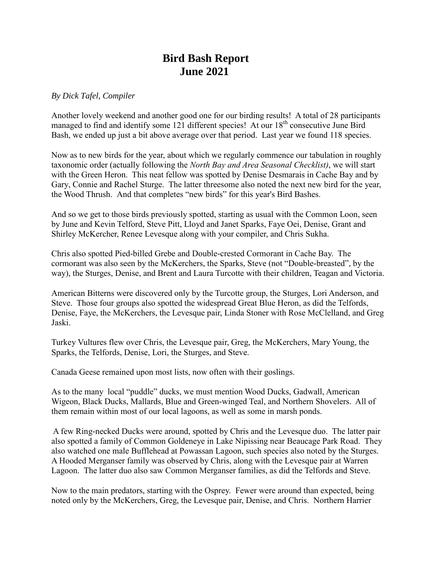## **Bird Bash Report June 2021**

## *By Dick Tafel, Compiler*

Another lovely weekend and another good one for our birding results! A total of 28 participants managed to find and identify some 121 different species! At our 18<sup>th</sup> consecutive June Bird Bash, we ended up just a bit above average over that period. Last year we found 118 species.

Now as to new birds for the year, about which we regularly commence our tabulation in roughly taxonomic order (actually following the *North Bay and Area Seasonal Checklist)*, we will start with the Green Heron. This neat fellow was spotted by Denise Desmarais in Cache Bay and by Gary, Connie and Rachel Sturge. The latter threesome also noted the next new bird for the year, the Wood Thrush. And that completes "new birds" for this year's Bird Bashes.

And so we get to those birds previously spotted, starting as usual with the Common Loon, seen by June and Kevin Telford, Steve Pitt, Lloyd and Janet Sparks, Faye Oei, Denise, Grant and Shirley McKercher, Renee Levesque along with your compiler, and Chris Sukha.

Chris also spotted Pied-billed Grebe and Double-crested Cormorant in Cache Bay. The cormorant was also seen by the McKerchers, the Sparks, Steve (not "Double-breasted", by the way), the Sturges, Denise, and Brent and Laura Turcotte with their children, Teagan and Victoria.

American Bitterns were discovered only by the Turcotte group, the Sturges, Lori Anderson, and Steve. Those four groups also spotted the widespread Great Blue Heron, as did the Telfords, Denise, Faye, the McKerchers, the Levesque pair, Linda Stoner with Rose McClelland, and Greg Jaski.

Turkey Vultures flew over Chris, the Levesque pair, Greg, the McKerchers, Mary Young, the Sparks, the Telfords, Denise, Lori, the Sturges, and Steve.

Canada Geese remained upon most lists, now often with their goslings.

As to the many local "puddle" ducks, we must mention Wood Ducks, Gadwall, American Wigeon, Black Ducks, Mallards, Blue and Green-winged Teal, and Northern Shovelers. All of them remain within most of our local lagoons, as well as some in marsh ponds.

A few Ring-necked Ducks were around, spotted by Chris and the Levesque duo. The latter pair also spotted a family of Common Goldeneye in Lake Nipissing near Beaucage Park Road. They also watched one male Bufflehead at Powassan Lagoon, such species also noted by the Sturges. A Hooded Merganser family was observed by Chris, along with the Levesque pair at Warren Lagoon. The latter duo also saw Common Merganser families, as did the Telfords and Steve.

Now to the main predators, starting with the Osprey. Fewer were around than expected, being noted only by the McKerchers, Greg, the Levesque pair, Denise, and Chris. Northern Harrier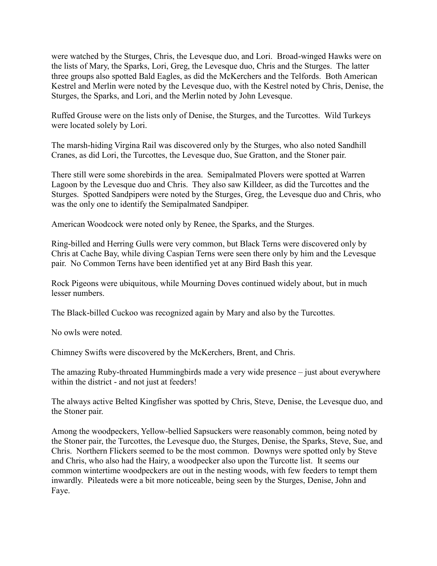were watched by the Sturges, Chris, the Levesque duo, and Lori. Broad-winged Hawks were on the lists of Mary, the Sparks, Lori, Greg, the Levesque duo, Chris and the Sturges. The latter three groups also spotted Bald Eagles, as did the McKerchers and the Telfords. Both American Kestrel and Merlin were noted by the Levesque duo, with the Kestrel noted by Chris, Denise, the Sturges, the Sparks, and Lori, and the Merlin noted by John Levesque.

Ruffed Grouse were on the lists only of Denise, the Sturges, and the Turcottes. Wild Turkeys were located solely by Lori.

The marsh-hiding Virgina Rail was discovered only by the Sturges, who also noted Sandhill Cranes, as did Lori, the Turcottes, the Levesque duo, Sue Gratton, and the Stoner pair.

There still were some shorebirds in the area. Semipalmated Plovers were spotted at Warren Lagoon by the Levesque duo and Chris. They also saw Killdeer, as did the Turcottes and the Sturges. Spotted Sandpipers were noted by the Sturges, Greg, the Levesque duo and Chris, who was the only one to identify the Semipalmated Sandpiper.

American Woodcock were noted only by Renee, the Sparks, and the Sturges.

Ring-billed and Herring Gulls were very common, but Black Terns were discovered only by Chris at Cache Bay, while diving Caspian Terns were seen there only by him and the Levesque pair. No Common Terns have been identified yet at any Bird Bash this year.

Rock Pigeons were ubiquitous, while Mourning Doves continued widely about, but in much lesser numbers.

The Black-billed Cuckoo was recognized again by Mary and also by the Turcottes.

No owls were noted.

Chimney Swifts were discovered by the McKerchers, Brent, and Chris.

The amazing Ruby-throated Hummingbirds made a very wide presence – just about everywhere within the district - and not just at feeders!

The always active Belted Kingfisher was spotted by Chris, Steve, Denise, the Levesque duo, and the Stoner pair.

Among the woodpeckers, Yellow-bellied Sapsuckers were reasonably common, being noted by the Stoner pair, the Turcottes, the Levesque duo, the Sturges, Denise, the Sparks, Steve, Sue, and Chris. Northern Flickers seemed to be the most common. Downys were spotted only by Steve and Chris, who also had the Hairy, a woodpecker also upon the Turcotte list. It seems our common wintertime woodpeckers are out in the nesting woods, with few feeders to tempt them inwardly. Pileateds were a bit more noticeable, being seen by the Sturges, Denise, John and Faye.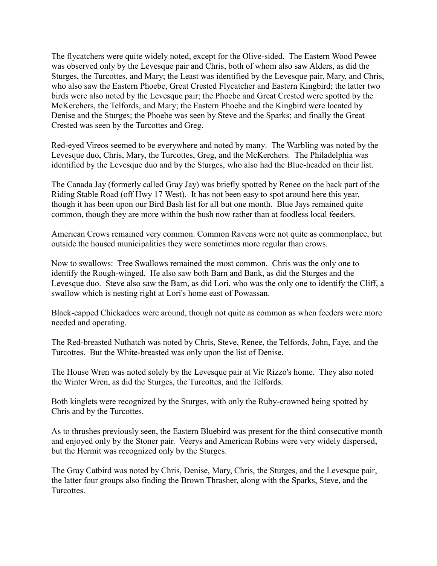The flycatchers were quite widely noted, except for the Olive-sided. The Eastern Wood Pewee was observed only by the Levesque pair and Chris, both of whom also saw Alders, as did the Sturges, the Turcottes, and Mary; the Least was identified by the Levesque pair, Mary, and Chris, who also saw the Eastern Phoebe, Great Crested Flycatcher and Eastern Kingbird; the latter two birds were also noted by the Levesque pair; the Phoebe and Great Crested were spotted by the McKerchers, the Telfords, and Mary; the Eastern Phoebe and the Kingbird were located by Denise and the Sturges; the Phoebe was seen by Steve and the Sparks; and finally the Great Crested was seen by the Turcottes and Greg.

Red-eyed Vireos seemed to be everywhere and noted by many. The Warbling was noted by the Levesque duo, Chris, Mary, the Turcottes, Greg, and the McKerchers. The Philadelphia was identified by the Levesque duo and by the Sturges, who also had the Blue-headed on their list.

The Canada Jay (formerly called Gray Jay) was briefly spotted by Renee on the back part of the Riding Stable Road (off Hwy 17 West). It has not been easy to spot around here this year, though it has been upon our Bird Bash list for all but one month. Blue Jays remained quite common, though they are more within the bush now rather than at foodless local feeders.

American Crows remained very common. Common Ravens were not quite as commonplace, but outside the housed municipalities they were sometimes more regular than crows.

Now to swallows: Tree Swallows remained the most common. Chris was the only one to identify the Rough-winged. He also saw both Barn and Bank, as did the Sturges and the Levesque duo. Steve also saw the Barn, as did Lori, who was the only one to identify the Cliff, a swallow which is nesting right at Lori's home east of Powassan.

Black-capped Chickadees were around, though not quite as common as when feeders were more needed and operating.

The Red-breasted Nuthatch was noted by Chris, Steve, Renee, the Telfords, John, Faye, and the Turcottes. But the White-breasted was only upon the list of Denise.

The House Wren was noted solely by the Levesque pair at Vic Rizzo's home. They also noted the Winter Wren, as did the Sturges, the Turcottes, and the Telfords.

Both kinglets were recognized by the Sturges, with only the Ruby-crowned being spotted by Chris and by the Turcottes.

As to thrushes previously seen, the Eastern Bluebird was present for the third consecutive month and enjoyed only by the Stoner pair. Veerys and American Robins were very widely dispersed, but the Hermit was recognized only by the Sturges.

The Gray Catbird was noted by Chris, Denise, Mary, Chris, the Sturges, and the Levesque pair, the latter four groups also finding the Brown Thrasher, along with the Sparks, Steve, and the Turcottes.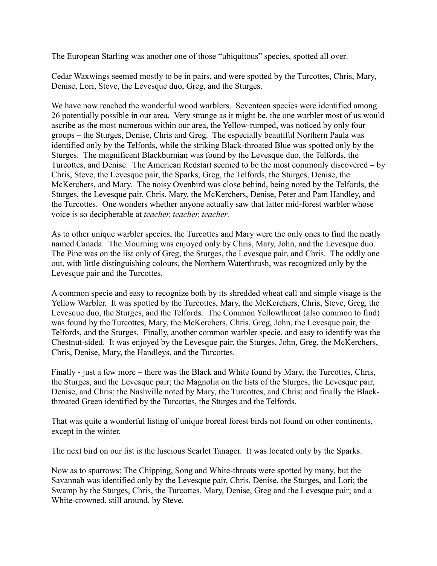The European Starling was another one of those "ubiquitous" species, spotted all over.

Cedar Waxwings seemed mostly to be in pairs, and were spotted by the Turcottes, Chris, Mary, Denise, Lori, Steve, the Levesque duo, Greg, and the Sturges.

We have now reached the wonderful wood warblers. Seventeen species were identified among 26 potentially possible in our area. Very strange as it might be, the one warbler most of us would ascribe as the most numerous within our area, the Yellow-rumped, was noticed by only four groups – the Sturges, Denise, Chris and Greg. The especially beautiful Northern Paula was identified only by the Telfords, while the striking Black-throated Blue was spotted only by the Sturges. The magnificent Blackburnian was found by the Levesque duo, the Telfords, the Turcottes, and Denise. The American Redstart seemed to be the most commonly discovered – by Chris, Steve, the Levesque pair, the Sparks, Greg, the Telfords, the Sturges, Denise, the McKerchers, and Mary. The noisy Ovenbird was close behind, being noted by the Telfords, the Sturges, the Levesque pair, Chris, Mary, the McKerchers, Denise, Peter and Pam Handley, and the Turcottes. One wonders whether anyone actually saw that latter mid-forest warbler whose voice is so decipherable at *teacher, teacher, teacher.*

As to other unique warbler species, the Turcottes and Mary were the only ones to find the neatly named Canada. The Mourning was enjoyed only by Chris, Mary, John, and the Levesque duo. The Pine was on the list only of Greg, the Sturges, the Levesque pair, and Chris. The oddly one out, with little distinguishing colours, the Northern Waterthrush, was recognized only by the Levesque pair and the Turcottes.

A common specie and easy to recognize both by its shredded wheat call and simple visage is the Yellow Warbler. It was spotted by the Turcottes, Mary, the McKerchers, Chris, Steve, Greg, the Levesque duo, the Sturges, and the Telfords. The Common Yellowthroat (also common to find) was found by the Turcottes, Mary, the McKerchers, Chris, Greg, John, the Levesque pair, the Telfords, and the Sturges. Finally, another common warbler specie, and easy to identify was the Chestnut-sided. It was enjoyed by the Levesque pair, the Sturges, John, Greg, the McKerchers, Chris, Denise, Mary, the Handleys, and the Turcottes.

Finally - just a few more – there was the Black and White found by Mary, the Turcottes, Chris, the Sturges, and the Levesque pair; the Magnolia on the lists of the Sturges, the Levesque pair, Denise, and Chris; the Nashville noted by Mary, the Turcottes, and Chris; and finally the Blackthroated Green identified by the Turcottes, the Sturges and the Telfords.

That was quite a wonderful listing of unique boreal forest birds not found on other continents, except in the winter.

The next bird on our list is the luscious Scarlet Tanager. It was located only by the Sparks.

Now as to sparrows: The Chipping, Song and White-throats were spotted by many, but the Savannah was identified only by the Levesque pair, Chris, Denise, the Sturges, and Lori; the Swamp by the Sturges, Chris, the Turcottes, Mary, Denise, Greg and the Levesque pair; and a White-crowned, still around, by Steve.